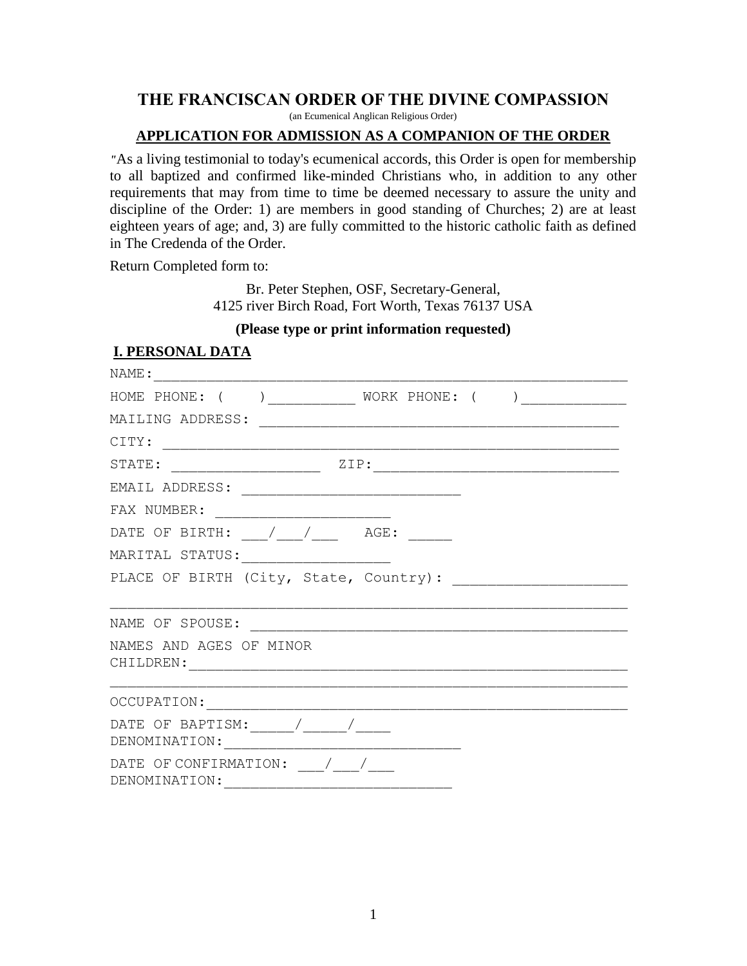## **THE FRANCISCAN ORDER OF THE DIVINE COMPASSION**

(an Ecumenical Anglican Religious Order)

## **APPLICATION FOR ADMISSION AS A COMPANION OF THE ORDER**

*"*As a living testimonial to today's ecumenical accords, this Order is open for membership to all baptized and confirmed like-minded Christians who, in addition to any other requirements that may from time to time be deemed necessary to assure the unity and discipline of the Order: 1) are members in good standing of Churches; 2) are at least eighteen years of age; and, 3) are fully committed to the historic catholic faith as defined in The Credenda of the Order.

Return Completed form to:

Br. Peter Stephen, OSF, Secretary-General, 4125 river Birch Road, Fort Worth, Texas 76137 USA

## **(Please type or print information requested)**

## **I. PERSONAL DATA**

| HOME PHONE: ( ) ___________ WORK PHONE: ( ) ____________                                                                                                                                                                                                                                                                                                                                               |
|--------------------------------------------------------------------------------------------------------------------------------------------------------------------------------------------------------------------------------------------------------------------------------------------------------------------------------------------------------------------------------------------------------|
|                                                                                                                                                                                                                                                                                                                                                                                                        |
|                                                                                                                                                                                                                                                                                                                                                                                                        |
|                                                                                                                                                                                                                                                                                                                                                                                                        |
|                                                                                                                                                                                                                                                                                                                                                                                                        |
|                                                                                                                                                                                                                                                                                                                                                                                                        |
| DATE OF BIRTH: $\_\_\_\_\_\_\_\_\_\_\_\_\$ AGE:                                                                                                                                                                                                                                                                                                                                                        |
| MARITAL STATUS: ________________________                                                                                                                                                                                                                                                                                                                                                               |
|                                                                                                                                                                                                                                                                                                                                                                                                        |
|                                                                                                                                                                                                                                                                                                                                                                                                        |
| NAME OF SPOUSE:                                                                                                                                                                                                                                                                                                                                                                                        |
| NAMES AND AGES OF MINOR                                                                                                                                                                                                                                                                                                                                                                                |
|                                                                                                                                                                                                                                                                                                                                                                                                        |
|                                                                                                                                                                                                                                                                                                                                                                                                        |
| DATE OF BAPTISM: $\frac{1}{\frac{1}{1-\frac{1}{1-\frac{1}{1-\frac{1}{1-\frac{1}{1-\frac{1}{1-\frac{1}{1-\frac{1}{1-\frac{1}{1-\frac{1}{1-\frac{1}{1-\frac{1}{1-\frac{1}{1-\frac{1}{1-\frac{1}{1-\frac{1}{1-\frac{1}{1-\frac{1}{1-\frac{1}{1-\frac{1}{1-\frac{1}{1-\frac{1}{1-\frac{1}{1-\frac{1}{1-\frac{1}{1-\frac{1}{1-\frac{1}{1-\frac{1}{1-\frac{1}{1-\frac{1}{1-\frac{1}{1-\frac{1}{1-\frac{1}{1$ |
|                                                                                                                                                                                                                                                                                                                                                                                                        |
| DATE OF CONFIRMATION: $\frac{1}{\sqrt{2}}$                                                                                                                                                                                                                                                                                                                                                             |
| DENOMINATION:                                                                                                                                                                                                                                                                                                                                                                                          |